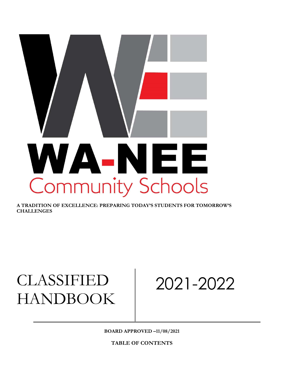# WA-NEE **Community Schools**

A TRADITION OF EXCELLENCE: PREPARING TODAY'S STUDENTS FOR TOMORROW'S **CHALLENGES** 

# CLASSIFIED HANDBOOK

2021-2022

BOARD APPROVED –11/08/2021

TABLE OF CONTENTS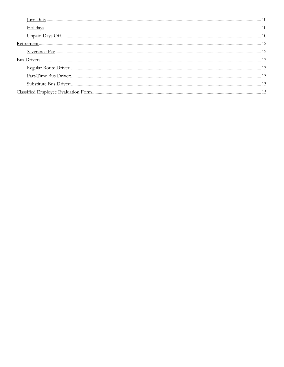| $\underline{\text{Holidays}}. \underline{\text{}} \underline{\text{}} \underline{\text{}} \underline{\text{}} \underline{\text{}} \underline{\text{}} \underline{\text{}} \underline{\text{}} \underline{\text{}} \underline{\text{}} \underline{\text{}} \underline{\text{}} \underline{\text{}} \underline{\text{}} \underline{\text{}} \underline{\text{}} \underline{\text{}} \underline{\text{}} \underline{\text{}} \underline{\text{}} \underline{\text{}} \underline{\text{}} \underline{\text{}} \underline{\text{}} \underline{\text{}} \underline{\text{}} \underline{\text{}} \underline{\text{}} \underline{\text{}} \underline{\text{$ |  |
|------------------------------------------------------------------------------------------------------------------------------------------------------------------------------------------------------------------------------------------------------------------------------------------------------------------------------------------------------------------------------------------------------------------------------------------------------------------------------------------------------------------------------------------------------------------------------------------------------------------------------------------------------|--|
|                                                                                                                                                                                                                                                                                                                                                                                                                                                                                                                                                                                                                                                      |  |
|                                                                                                                                                                                                                                                                                                                                                                                                                                                                                                                                                                                                                                                      |  |
|                                                                                                                                                                                                                                                                                                                                                                                                                                                                                                                                                                                                                                                      |  |
|                                                                                                                                                                                                                                                                                                                                                                                                                                                                                                                                                                                                                                                      |  |
|                                                                                                                                                                                                                                                                                                                                                                                                                                                                                                                                                                                                                                                      |  |
|                                                                                                                                                                                                                                                                                                                                                                                                                                                                                                                                                                                                                                                      |  |
|                                                                                                                                                                                                                                                                                                                                                                                                                                                                                                                                                                                                                                                      |  |
|                                                                                                                                                                                                                                                                                                                                                                                                                                                                                                                                                                                                                                                      |  |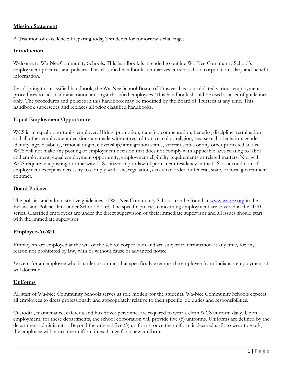#### Mission Statement

A Tradition of excellence: Preparing today's students for tomorrow's challenges

#### Introduction

Welcome to Wa-Nee Community Schools. This handbook is intended to outline Wa-Nee Community School's employment practices and policies. This classified handbook summarizes current school corporation salary and benefit information.

By adopting this classified handbook, the Wa-Nee School Board of Trustees has consolidated various employment procedures to aid in administration amongst classified employees. This handbook should be used as a set of guidelines only. The procedures and policies in this handbook may be modified by the Board of Trustees at any time. This handbook supersedes and replaces all prior classified handbooks.

#### Equal Employment Opportunity

WCS is an equal opportunity employer. Hiring, promotion, transfer, compensation, benefits, discipline, termination and all other employment decisions are made without regard to race, color, religion, sex, sexual orientation, gender identity, age, disability, national origin, citizenship/immigration status, veteran status or any other protected status. WCS will not make any posting or employment decision that does not comply with applicable laws relating to labor and employment, equal employment opportunity, employment eligibility requirements or related matters. Nor will WCS require in a posting or otherwise U.S. citizenship or lawful permanent residency in the U.S. as a condition of employment except as necessary to comply with law, regulation, executive order, or federal, state, or local government contract.

# Board Policies

The policies and administrative guidelines of Wa-Nee Community Schools can be found at www.wanee.org in the Bylaws and Policies link under School Board. The specific policies concerning employment are covered in the 4000 series. Classified employees are under the direct supervision of their immediate supervisor and all issues should start with the immediate supervisor.

#### Employee-At-Will

Employees are employed at the will of the school corporation and are subject to termination at any time, for any reason not prohibited by law, with or without cause or advanced notice.

\*except for an employee who is under a contract that specifically exempts the employee from Indiana's employment at will doctrine.

#### Uniforms

All staff of Wa-Nee Community Schools serves as role models for the students. Wa-Nee Community Schools expects all employees to dress professionally and appropriately relative to their specific job duties and responsibilities.

Custodial, maintenance, cafeteria and bus driver personnel are required to wear a clean WCS uniform daily. Upon employment, for these departments, the school corporation will provide five (5) uniforms. Uniforms are defined by the department administrator. Beyond the original five (5) uniforms, once the uniform is deemed unfit to wear to work, the employee will return the uniform in exchange for a new uniform.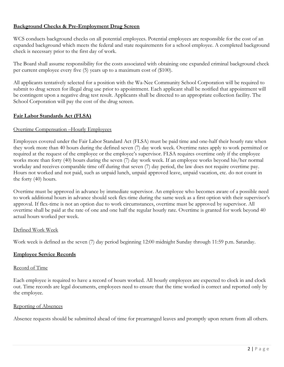#### Background Checks & Pre-Employment Drug Screen

WCS conducts background checks on all potential employees. Potential employees are responsible for the cost of an expanded background which meets the federal and state requirements for a school employee. A completed background check is necessary prior to the first day of work.

The Board shall assume responsibility for the costs associated with obtaining one expanded criminal background check per current employee every five (5) years up to a maximum cost of (\$100).

All applicants tentatively selected for a position with the Wa-Nee Community School Corporation will be required to submit to drug screen for illegal drug use prior to appointment. Each applicant shall be notified that appointment will be contingent upon a negative drug test result. Applicants shall be directed to an appropriate collection facility. The School Corporation will pay the cost of the drug screen.

# Fair Labor Standards Act (FLSA)

#### Overtime Compensation –Hourly Employees

Employees covered under the Fair Labor Standard Act (FLSA) must be paid time and one-half their hourly rate when they work more than 40 hours during the defined seven (7) day work week. Overtime rates apply to work permitted or required at the request of the employee or the employee's supervisor. FLSA requires overtime only if the employee works more than forty (40) hours during the seven (7) day work week. If an employee works beyond his/her normal workday and receives comparable time off during that seven (7) day period, the law does not require overtime pay. Hours not worked and not paid, such as unpaid lunch, unpaid approved leave, unpaid vacation, etc. do not count in the forty (40) hours.

Overtime must be approved in advance by immediate supervisor. An employee who becomes aware of a possible need to work additional hours in advance should seek flex-time during the same week as a first option with their supervisor's approval. If flex-time is not an option due to work circumstances, overtime must be approved by supervisor. All overtime shall be paid at the rate of one and one half the regular hourly rate. Overtime is granted for work beyond 40 actual hours worked per week.

#### Defined Work Week

Work week is defined as the seven (7) day period beginning 12:00 midnight Sunday through 11:59 p.m. Saturday.

#### Employee Service Records

#### Record of Time

Each employee is required to have a record of hours worked. All hourly employees are expected to clock in and clock out. Time records are legal documents, employees need to ensure that the time worked is correct and reported only by the employee.

#### Reporting of Absences

Absence requests should be submitted ahead of time for prearranged leaves and promptly upon return from all others.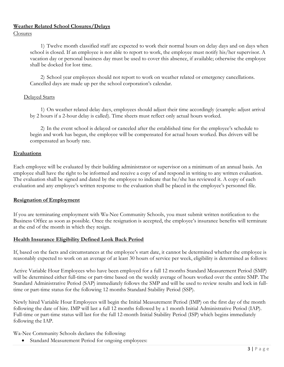# Weather Related School Closures/Delays

Closures

1) Twelve month classified staff are expected to work their normal hours on delay days and on days when school is closed. If an employee is not able to report to work, the employee must notify his/her supervisor. A vacation day or personal business day must be used to cover this absence, if available; otherwise the employee shall be docked for lost time.

2) School year employees should not report to work on weather related or emergency cancellations. Cancelled days are made up per the school corporation's calendar.

#### Delayed Starts

1) On weather related delay days, employees should adjust their time accordingly (example: adjust arrival by 2 hours if a 2-hour delay is called). Time sheets must reflect only actual hours worked.

2) In the event school is delayed or canceled after the established time for the employee's schedule to begin and work has begun, the employee will be compensated for actual hours worked. Bus drivers will be compensated an hourly rate.

#### Evaluations

Each employee will be evaluated by their building administrator or supervisor on a minimum of an annual basis. An employee shall have the right to be informed and receive a copy of and respond in writing to any written evaluation. The evaluation shall be signed and dated by the employee to indicate that he/she has reviewed it. A copy of each evaluation and any employee's written response to the evaluation shall be placed in the employee's personnel file.

# Resignation of Employment

If you are terminating employment with Wa-Nee Community Schools, you must submit written notification to the Business Office as soon as possible. Once the resignation is accepted, the employee's insurance benefits will terminate at the end of the month in which they resign.

# Health Insurance Eligibility Defined Look Back Period

If, based on the facts and circumstances at the employee's start date, it cannot be determined whether the employee is reasonably expected to work on an average of at least 30 hours of service per week, eligibility is determined as follows:

Active Variable Hour Employees who have been employed for a full 12 months Standard Measurement Period (SMP) will be determined either full-time or part-time based on the weekly average of hours worked over the entire SMP. The Standard Administrative Period (SAP) immediately follows the SMP and will be used to review results and lock in fulltime or part-time status for the following 12 months Standard Stability Period (SSP).

Newly hired Variable Hour Employees will begin the Initial Measurement Period (IMP) on the first day of the month following the date of hire. IMP will last a full 12 months followed by a 1 month Initial Administrative Period (IAP). Full-time or part-time status will last for the full 12-month Initial Stability Period (ISP) which begins immediately following the IAP.

Wa-Nee Community Schools declares the following:

• Standard Measurement Period for ongoing employees: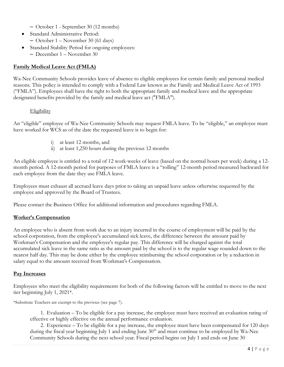- October 1 September 30 (12 months)
- Standard Administrative Period: – October 1 – November 30 (61 days)
- Standard Stability Period for ongoing employees: – December 1 – November 30

# Family Medical Leave Act (FMLA)

Wa-Nee Community Schools provides leave of absence to eligible employees for certain family and personal medical reasons. This policy is intended to comply with a Federal Law known as the Family and Medical Leave Act of 1993 ("FMLA"). Employees shall have the right to both the appropriate family and medical leave and the appropriate designated benefits provided by the family and medical leave act ("FMLA").

#### **Eligibility**

An "eligible" employee of Wa-Nee Community Schools may request FMLA leave. To be "eligible," an employee must have worked for WCS as of the date the requested leave is to begin for:

- i) at least 12 months, and
- ii) at least 1,250 hours during the previous 12 months

An eligible employee is entitled to a total of 12 work-weeks of leave (based on the normal hours per week) during a 12 month period. A 12-month period for purposes of FMLA leave is a "rolling" 12-month period measured backward for each employee from the date they use FMLA leave.

Employees must exhaust all accrued leave days prior to taking an unpaid leave unless otherwise requested by the employee and approved by the Board of Trustees.

Please contact the Business Office for additional information and procedures regarding FMLA.

# Worker's Compensation

An employee who is absent from work due to an injury incurred in the course of employment will be paid by the school corporation, from the employee's accumulated sick leave, the difference between the amount paid by Workman's Compensation and the employee's regular pay. This difference will be charged against the total accumulated sick leave in the same ratio as the amount paid by the school is to the regular wage rounded down to the nearest half day. This may be done either by the employee reimbursing the school corporation or by a reduction in salary equal to the amount received from Workman's Compensation.

# Pay Increases

Employees who meet the eligibility requirements for both of the following factors will be entitled to move to the next tier beginning July 1, 2021\*.

\*Substitute Teachers are exempt to the previous (see page 7).

1. Evaluation – To be eligible for a pay increase, the employee must have received an evaluation rating of effective or highly effective on the annual performance evaluation.

2. Experience – To be eligible for a pay increase, the employee must have been compensated for 120 days during the fiscal year beginning July 1 and ending June 30<sup>th</sup> and must continue to be employed by Wa-Nee Community Schools during the next school year. Fiscal period begins on July 1 and ends on June 30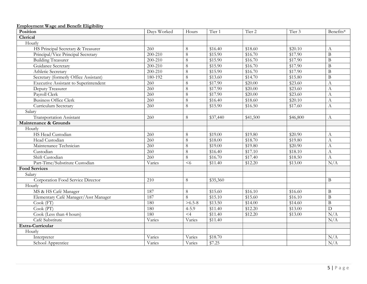| Position                                     | Days Worked      | Hours          | Tier <sub>1</sub>    | Tier <sub>2</sub> | Tier 3   | Benefits*        |
|----------------------------------------------|------------------|----------------|----------------------|-------------------|----------|------------------|
| Clerical                                     |                  |                |                      |                   |          |                  |
| Hourly                                       |                  |                |                      |                   |          |                  |
| HS Principal Secretary & Treasurer           | 260              | $8\,$          | \$16.40              | \$18.60           | \$20.10  | $\boldsymbol{A}$ |
| Principal/Vice Principal Secretary           | 200-210          | 8              | \$15.90              | \$16.70           | \$17.90  | $\mathbf{B}$     |
| <b>Building Treasurer</b>                    | 200-210          | $8\,$          | \$15.90              | \$16.70           | \$17.90  | $\, {\bf B}$     |
| Guidance Secretary                           | 200-210          | $8\,$          | \$15.90              | \$16.70           | \$17.90  | $\overline{B}$   |
| Athletic Secretary                           | 200-210          | $8\,$          | \$15.90              | \$16.70           | \$17.90  | $\bf{B}$         |
| Secretary (formerly Office Assistant)        | 180-192          | $8\,$          | \$13.60              | \$14.70           | \$15.80  | $\, {\bf B}$     |
| <b>Executive Assistant to Superintendent</b> | $\overline{260}$ | $\overline{8}$ | \$17.90              | \$20.00           | \$23.60  | $\mathbf{A}$     |
| Deputy Treasurer                             | 260              | $8\,$          | \$17.90              | \$20.00           | \$23.60  | A                |
| Payroll Clerk                                | $\overline{260}$ | $8\,$          | \$17.90              | \$20.00           | \$23.60  | A                |
| <b>Business Office Clerk</b>                 | 260              | $8\,$          | \$16.40              | \$18.60           | \$20.10  | $\mathbf{A}$     |
| Curriculum Secretary                         | $\overline{260}$ | $8\,$          | \$15.90              | \$16.50           | \$17.60  | A                |
| Salary                                       |                  |                |                      |                   |          |                  |
| <b>Transportation Assistant</b>              | 260              | 8              | \$37,440             | \$41,500          | \$46,800 | A                |
| Maintenance & Grounds                        |                  |                |                      |                   |          |                  |
| Hourly                                       |                  |                |                      |                   |          |                  |
| HS Head Custodian                            | 260              | 8              | \$19.00              | \$19.80           | \$20.90  | $\mathbf{A}$     |
| Head Custodian                               | 260              | $8\,$          | \$18.00              | \$18.70           | \$19.80  | A                |
| Maintenance Technician                       | 260              | $8\,$          | \$19.00              | \$19.80           | \$20.90  | $\boldsymbol{A}$ |
| Custodian                                    | $\overline{260}$ | $8\,$          | \$16.40              | \$17.10           | \$18.10  | $\mathbf{A}$     |
| Shift Custodian                              | 260              | $8\,$          | \$16.70              | \$17.40           | \$18.50  | $\mathbf{A}$     |
| Part-Time/Substitute Custodian               | Varies           | $<$ 6          | \$11.40              | \$12.20           | \$13.00  | N/A              |
| <b>Food Services</b>                         |                  |                |                      |                   |          |                  |
| Salary                                       |                  |                |                      |                   |          |                  |
| Corporation Food Service Director            | 210              | 8              | $\overline{$}35,360$ |                   |          | B                |
| Hourly                                       |                  |                |                      |                   |          |                  |
| MS & HS Café Manager                         | 187              | 8              | \$15.60              | \$16.10           | \$16.60  | $\, {\bf B}$     |
| Elementary Café Manager/Asst Manager         | 187              | 8              | \$15.10              | \$15.60           | \$16.10  | $\, {\bf B}$     |
| Cook (FT)                                    | 180              | $>6.5-8$       | \$13.50              | $\sqrt{$14.00}$   | \$14.60  | $\overline{B}$   |
| $\overline{\mathrm{Cook}\,(\mathrm{PT})}$    | 180              | $4 - 5.9$      | \$11.40              | \$12.20           | \$13.00  | $\overline{D}$   |
| Cook (Less than 4 hours)                     | 180              | $\overline{4}$ | \$11.40              | \$12.20           | \$13.00  | N/A              |
| Café Substitute                              | Varies           | Varies         | \$11.40              |                   |          | N/A              |
| Extra-Curricular                             |                  |                |                      |                   |          |                  |
| Hourly                                       |                  |                |                      |                   |          |                  |
| Interpreter                                  | Varies           | Varies         | \$18.70              |                   |          | N/A              |
| School Apprentice                            | Varies           | Varies         | \$7.25               |                   |          | N/A              |

#### Employment Wage and Benefit Eligibility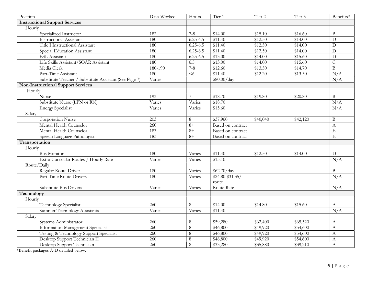| Position                                               | Days Worked      | Hours        | Tier 1               | Tier <sub>2</sub> | Tier 3   | Benefits*        |
|--------------------------------------------------------|------------------|--------------|----------------------|-------------------|----------|------------------|
| <b>Instructional Support Services</b>                  |                  |              |                      |                   |          |                  |
| Hourly                                                 |                  |              |                      |                   |          |                  |
| Specialized Instructor                                 | 182              | $7 - 8$      | \$14.00              | \$15.10           | \$16.60  | $\bf{B}$         |
| <b>Instructional Assistant</b>                         | 180              | $6.25 - 6.5$ | \$11.40              | \$12.50           | \$14.00  | D                |
| Title I Instructional Assistant                        | 180              | $6.25 - 6.5$ | \$11.40              | \$12.50           | \$14.00  | D                |
| Special Education Assistant                            | 180              | $6.25 - 6.5$ | \$11.40              | \$12.50           | \$14.00  | $\overline{D}$   |
| ESL Assistant                                          | 180              | $6.25 - 6.5$ | \$13.00              | \$14.00           | \$15.60  | D                |
| Life Skills Assistant/SOAR Assistant                   | 180              | 6.5          | \$13.00              | \$14.00           | \$15.60  | $\overline{C}$   |
| Media Clerk                                            | 180-190          | $7 - 8$      | \$12.60              | \$13.50           | \$14.70  | $\overline{B}$   |
| Part-Time Assistant                                    | 180              | $6$          | $\sqrt{$11.40}$      | \$12.20           | \$13.50  | N/A              |
| Substitute Teacher / Substitute Assistant (See Page 7) | Varies           |              | \$80.00/day          |                   |          | N/A              |
| <b>Non-Instructional Support Services</b>              |                  |              |                      |                   |          |                  |
| Hourly                                                 |                  |              |                      |                   |          |                  |
| Nurse                                                  | 193              | 7            | \$18.70              | \$19.80           | \$20.80  | $\overline{B}$   |
| Substitute Nurse (LPN or RN)                           | Varies           | Varies       | \$18.70              |                   |          | N/A              |
| <b>Energy Specialist</b>                               | Varies           | Varies       | \$15.60              |                   |          | N/A              |
| Salary                                                 |                  |              |                      |                   |          |                  |
| <b>Corporation Nurse</b>                               | 203              | 8            | \$37,960             | \$40,040          | \$42,120 | B                |
| Mental Health Counselor                                | 260              | $8+$         | Based on contract    |                   |          | A                |
| Mental Health Counselor                                | 183              | $8+$         | Based on contract    |                   |          | E                |
| Speech Language Pathologist                            | 183              | $8+$         | Based on contract    |                   |          | $\mathbf E$      |
| Transportation                                         |                  |              |                      |                   |          |                  |
| Hourly                                                 |                  |              |                      |                   |          |                  |
| <b>Bus Monitor</b>                                     | 180              | Varies       | \$11.40              | \$12.50           | \$14.00  | $\overline{D}$   |
| Extra-Curricular Routes / Hourly Rate                  | Varies           | Varies       | \$15.10              |                   |          | N/A              |
| Route/Daily                                            |                  |              |                      |                   |          |                  |
| Regular Route Driver                                   | 180              | Varies       | \$62.70/day          |                   |          | $\mathbf B$      |
| Part-Time Route Drivers                                | 180              | Varies       | $$24.80 - $31.35/$   |                   |          | N/A              |
|                                                        |                  |              | route                |                   |          |                  |
| Substitute Bus Drivers                                 | Varies           | Varies       | Route Rate           |                   |          | N/A              |
| Technology                                             |                  |              |                      |                   |          |                  |
| Hourly                                                 |                  |              |                      |                   |          |                  |
| <b>Technology Specialist</b>                           | 260              | 8            | \$14.00              | \$14.80           | \$15.60  | A                |
| <b>Summer Technology Assistants</b>                    | Varies           | Varies       | \$11.40              |                   |          | N/A              |
| Salary                                                 |                  |              |                      |                   |          |                  |
| Systems Administrator                                  | 260              | $8\,$        | $\overline{$}59,280$ | \$62,400          | \$65,520 | $\boldsymbol{A}$ |
| Information Management Specialist                      | $\overline{260}$ | $8\,$        | \$46,800             | \$49,920          | \$54,600 | $\mathbf{A}$     |
| Testing & Technology Support Specialist                | 260              | $\,8\,$      | \$46,800             | \$49,920          | \$54,600 | $\mathbf{A}$     |
| Desktop Support Technician II                          | 260              | $\,8\,$      | \$46,800             | \$49,920          | \$54,600 | $\boldsymbol{A}$ |
| Desktop Support Technician                             | 260              | 8            | \$33,280             | \$35,880          | \$39,210 | $\boldsymbol{A}$ |

\*Benefit packages A-D detailed below.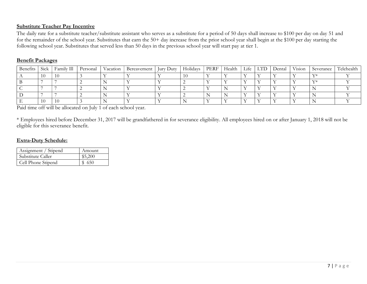#### Substitute Teacher Pay Incentive

The daily rate for a substitute teacher/substitute assistant who serves as a substitute for a period of 50 days shall increase to \$100 per day on day 51 and for the remainder of the school year. Substitutes that earn the 50+ day increase from the prior school year shall begin at the \$100 per day starting the following school year. Substitutes that served less than 50 days in the previous school year will start pay at tier 1.

#### Benefit Packages

| Benetits | Sick | Family Ill | Personal | Vacation | Bereavement | Jury Duty | Holidays | PERF | Health | Life | LTD | Dental | Vision | Severance | Telehealth |
|----------|------|------------|----------|----------|-------------|-----------|----------|------|--------|------|-----|--------|--------|-----------|------------|
|          | 10   |            |          |          |             |           |          |      |        |      |     |        |        |           |            |
|          |      |            |          |          |             |           |          |      |        |      |     |        |        |           |            |
|          |      |            |          |          |             |           |          |      |        |      |     |        |        |           |            |
|          |      |            |          |          |             |           |          |      |        |      |     |        |        |           |            |
|          |      |            |          |          |             |           |          |      |        |      |     |        |        |           |            |

Paid time off will be allocated on July 1 of each school year.

\* Employees hired before December 31, 2017 will be grandfathered in for severance eligibility. All employees hired on or after January 1, 2018 will not be eligible for this severance benefit.

#### Extra-Duty Schedule:

| Assignment / Stipend | Amount  |
|----------------------|---------|
| Substitute Caller    | \$5,200 |
| Cell Phone Stipend   | \$ 650  |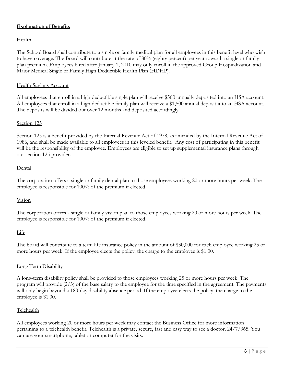#### Explanation of Benefits

#### Health

The School Board shall contribute to a single or family medical plan for all employees in this benefit level who wish to have coverage. The Board will contribute at the rate of 80% (eighty percent) per year toward a single or family plan premium. Employees hired after January 1, 2010 may only enroll in the approved Group Hospitalization and Major Medical Single or Family High Deductible Health Plan (HDHP).

#### Health Savings Account

All employees that enroll in a high deductible single plan will receive \$500 annually deposited into an HSA account. All employees that enroll in a high deductible family plan will receive a \$1,500 annual deposit into an HSA account. The deposits will be divided out over 12 months and deposited accordingly.

#### Section 125

Section 125 is a benefit provided by the Internal Revenue Act of 1978, as amended by the Internal Revenue Act of 1986, and shall be made available to all employees in this leveled benefit. Any cost of participating in this benefit will be the responsibility of the employee. Employees are eligible to set up supplemental insurance plans through our section 125 provider.

#### Dental

The corporation offers a single or family dental plan to those employees working 20 or more hours per week. The employee is responsible for 100% of the premium if elected.

#### Vision

The corporation offers a single or family vision plan to those employees working 20 or more hours per week. The employee is responsible for 100% of the premium if elected.

# Life

The board will contribute to a term life insurance policy in the amount of \$30,000 for each employee working 25 or more hours per week. If the employee elects the policy, the charge to the employee is \$1.00.

# Long Term Disability

A long-term disability policy shall be provided to those employees working 25 or more hours per week. The program will provide (2/3) of the base salary to the employee for the time specified in the agreement. The payments will only begin beyond a 180-day disability absence period. If the employee elects the policy, the charge to the employee is \$1.00.

#### Telehealth

All employees working 20 or more hours per week may contact the Business Office for more information pertaining to a telehealth benefit. Telehealth is a private, secure, fast and easy way to see a doctor, 24/7/365. You can use your smartphone, tablet or computer for the visits.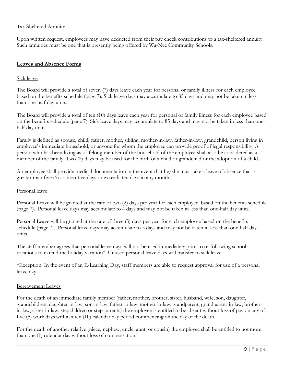# Tax Sheltered Annuity

Upon written request, employees may have deducted from their pay check contributions to a tax-sheltered annuity. Such annuities must be one that is presently being offered by Wa-Nee Community Schools.

#### Leaves and Absence Forms

#### Sick leave

The Board will provide a total of seven (7) days leave each year for personal or family illness for each employee based on the benefits schedule (page 7). Sick leave days may accumulate to 85 days and may not be taken in less than one-half day units.

The Board will provide a total of ten (10) days leave each year for personal or family illness for each employee based on the benefits schedule (page 7). Sick leave days may accumulate to 85 days and may not be taken in less than onehalf day units.

Family is defined as spouse, child, father, mother, sibling, mother-in-law, father-in-law, grandchild, person living in employee's immediate household, or anyone for whom the employee can provide proof of legal responsibility. A person who has been living as a lifelong member of the household of the employee shall also be considered as a member of the family. Two (2) days may be used for the birth of a child or grandchild or the adoption of a child.

An employee shall provide medical documentation in the event that he/she must take a leave of absence that is greater than five (5) consecutive days or exceeds ten days in any month.

#### Personal leave

Personal Leave will be granted at the rate of two (2) days per year for each employee based on the benefits schedule (page 7). Personal leave days may accumulate to 4 days and may not be taken in less than one-half day units.

Personal Leave will be granted at the rate of three (3) days per year for each employee based on the benefits schedule (page 7). Personal leave days may accumulate to 5 days and may not be taken in less than one-half day units.

The staff member agrees that personal leave days will not be used immediately prior to or following school vacations to extend the holiday vacation\*. Unused personal leave days will transfer to sick leave.

\*Exception: In the event of an E-Learning Day, staff members are able to request approval for use of a personal leave day.

#### Bereavement Leaves

For the death of an immediate family member (father, mother, brother, sister, husband, wife, son, daughter, grandchildren, daughter-in-law, son-in-law, father-in-law, mother-in-law, grandparent, grandparent-in-law, brotherin-law, sister-in-law, stepchildren or step-parents) the employee is entitled to be absent without loss of pay on any of five (5) work days within a ten (10) calendar day period commencing on the day of the death.

For the death of another relative (niece, nephew, uncle, aunt, or cousin) the employee shall be entitled to not more than one (1) calendar day without loss of compensation.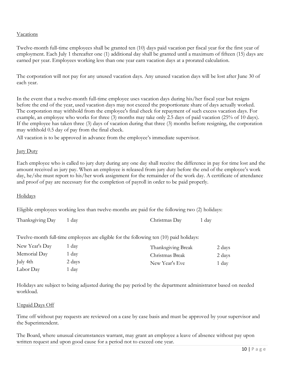#### Vacations

Twelve-month full-time employees shall be granted ten (10) days paid vacation per fiscal year for the first year of employment. Each July 1 thereafter one (1) additional day shall be granted until a maximum of fifteen (15) days are earned per year. Employees working less than one year earn vacation days at a prorated calculation.

The corporation will not pay for any unused vacation days. Any unused vacation days will be lost after June 30 of each year.

In the event that a twelve-month full-time employee uses vacation days during his/her fiscal year but resigns before the end of the year, used vacation days may not exceed the proportionate share of days actually worked. The corporation may withhold from the employee's final check for repayment of such excess vacation days. For example, an employee who works for three (3) months may take only 2.5 days of paid vacation (25% of 10 days). If the employee has taken three (3) days of vacation during that three (3) months before resigning, the corporation may withhold 0.5 day of pay from the final check.

All vacation is to be approved in advance from the employee's immediate supervisor.

#### **Jury Duty**

Each employee who is called to jury duty during any one day shall receive the difference in pay for time lost and the amount received as jury pay. When an employee is released from jury duty before the end of the employee's work day, he/she must report to his/her work assignment for the remainder of the work day. A certificate of attendance and proof of pay are necessary for the completion of payroll in order to be paid properly.

# Holidays

Eligible employees working less than twelve-months are paid for the following two (2) holidays:

| Thanksgiving Day | 1 day | Christmas Day | $1 \text{ day}$ |
|------------------|-------|---------------|-----------------|
|------------------|-------|---------------|-----------------|

Twelve-month full-time employees are eligible for the following ten (10) paid holidays:

| New Year's Day | 1 day  | Thanksgiving Break | 2 days |
|----------------|--------|--------------------|--------|
| Memorial Day   | 1 day  | Christmas Break    | 2 days |
| July 4th       | 2 days | New Year's Eve     | 1 day  |
| Labor Day      | 1 day  |                    |        |

Holidays are subject to being adjusted during the pay period by the department administrator based on needed workload.

#### Unpaid Days Off

Time off without pay requests are reviewed on a case by case basis and must be approved by your supervisor and the Superintendent.

The Board, where unusual circumstances warrant, may grant an employee a leave of absence without pay upon written request and upon good cause for a period not to exceed one year.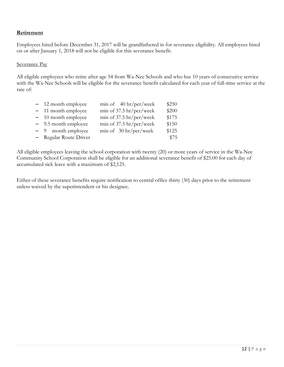#### Retirement

Employees hired before December 31, 2017 will be grandfathered in for severance eligibility. All employees hired on or after January 1, 2018 will not be eligible for this severance benefit.

#### Severance Pay

All eligible employees who retire after age 54 from Wa-Nee Schools and who has 10 years of consecutive service with the Wa-Nee Schools will be eligible for the severance benefit calculated for each year of full-time service at the rate of:

| - 12 month employee    | min of $40 \text{ hr/per/week}$                        | \$250 |
|------------------------|--------------------------------------------------------|-------|
| - 11 month employee    | $\min$ of 37.5 $\frac{hr}{per}/\text{vec}/\text{week}$ | \$200 |
| $-10$ month employee   | $min$ of 37.5 $hr/per/week$                            | \$175 |
| - 9.5 month employee   | min of $37.5 \text{ hr/per/week}$                      | \$150 |
| $-9$ month employee    | min of $30 \text{ hr/per/week}$                        | \$125 |
| - Regular Route Driver |                                                        | \$75  |

All eligible employees leaving the school corporation with twenty (20) or more years of service in the Wa-Nee Community School Corporation shall be eligible for an additional severance benefit of \$25.00 for each day of accumulated sick leave with a maximum of \$2,125.

Either of these severance benefits require notification to central office thirty (30) days prior to the retirement unless waived by the superintendent or his designee.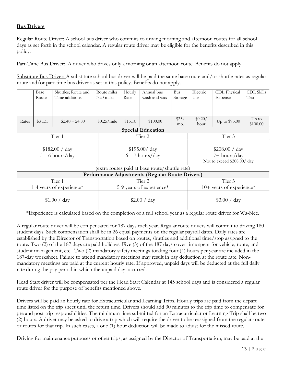# Bus Drivers

Regular Route Driver: A school bus driver who commits to driving morning and afternoon routes for all school days as set forth in the school calendar. A regular route driver may be eligible for the benefits described in this policy.

Part-Time Bus Driver: A driver who drives only a morning or an afternoon route. Benefits do not apply.

Substitute Bus Driver: A substitute school bus driver will be paid the same base route and/or shuttle rates as regular route and/or part-time bus driver as set in this policy. Benefits do not apply.

|              | Base    | Shuttles; Route and                                                                                           | Route miles | Hourly                   | Annual bus                                      | Bus          | Electric        | CDL Physical                | <b>CDL Skills</b>   |  |  |
|--------------|---------|---------------------------------------------------------------------------------------------------------------|-------------|--------------------------|-------------------------------------------------|--------------|-----------------|-----------------------------|---------------------|--|--|
|              | Route   | Time additions                                                                                                | $>20$ miles | Rate                     | wash and wax                                    | Storage      | Use             | Expense                     | Test                |  |  |
|              |         |                                                                                                               |             |                          |                                                 |              |                 |                             |                     |  |  |
|              |         |                                                                                                               |             |                          |                                                 |              |                 |                             |                     |  |  |
| Rates        | \$31.35 | $$2.40 - 24.80$                                                                                               | \$0.25/mile | \$15.10                  | \$100.00                                        | \$25/<br>mo. | \$0.20/<br>hour | Up to \$95.00               | $Up$ to<br>\$100.00 |  |  |
|              |         |                                                                                                               |             |                          | <b>Special Education</b>                        |              |                 |                             |                     |  |  |
|              |         | Tier 1                                                                                                        |             |                          | Tier 2                                          |              |                 | Tier 3                      |                     |  |  |
|              |         |                                                                                                               |             |                          |                                                 |              |                 |                             |                     |  |  |
|              |         | \$182.00 / day                                                                                                |             | \$195.00 / day           |                                                 |              |                 | \$208.00 / day              |                     |  |  |
|              |         | $5 - 6$ hours/day                                                                                             |             | $6 - 7$ hours/day        |                                                 |              |                 | 7+ hours/day                |                     |  |  |
|              |         |                                                                                                               |             |                          |                                                 |              |                 | Not to exceed \$208.00/ day |                     |  |  |
|              |         |                                                                                                               |             |                          | (extra routes paid at base route/shuttle rate)  |              |                 |                             |                     |  |  |
|              |         |                                                                                                               |             |                          | Performance Adjustments (Regular Route Drivers) |              |                 |                             |                     |  |  |
|              |         | Tier 1                                                                                                        |             | Tier <sub>2</sub>        |                                                 |              |                 | Tier 3                      |                     |  |  |
|              |         | 1-4 years of experience*                                                                                      |             | 5-9 years of experience* |                                                 |              |                 | $10+$ years of experience*  |                     |  |  |
|              |         |                                                                                                               |             |                          |                                                 |              |                 |                             |                     |  |  |
| \$1.00 / day |         |                                                                                                               |             | \$2.00 $\frac{1}{2}$ day |                                                 |              |                 | \$3.00 / day                |                     |  |  |
|              |         |                                                                                                               |             |                          |                                                 |              |                 |                             |                     |  |  |
|              |         | *Experience is calculated based on the completion of a full school year as a regular route driver for Wa-Nee. |             |                          |                                                 |              |                 |                             |                     |  |  |

A regular route driver will be compensated for 187 days each year. Regular route drivers will commit to driving 180 student days. Such compensation shall be in 26 equal payments on the regular payroll dates. Daily rates are established by the Director of Transportation based on routes, shuttles and additional time/stop assigned to the route. Two (2) of the 187 days are paid holidays. Five (5) of the 187 days cover time spent for vehicle, route, and student management, etc. Two (2) mandatory safety meetings totaling four (4) hours per year are included in the 187-day worksheet. Failure to attend mandatory meetings may result in pay deduction at the route rate. Nonmandatory meetings are paid at the current hourly rate. If approved, unpaid days will be deducted at the full daily rate during the pay period in which the unpaid day occurred.

Head Start driver will be compensated per the Head Start Calendar at 145 school days and is considered a regular route driver for the purpose of benefits mentioned above.

Drivers will be paid an hourly rate for Extracurricular and Learning Trips. Hourly trips are paid from the depart time listed on the trip sheet until the return time. Drivers should add 30 minutes to the trip time to compensate for pre and post-trip responsibilities. The minimum time submitted for an Extracurricular or Learning Trip shall be two (2) hours. A driver may be asked to drive a trip which will require the driver to be reassigned from the regular route or routes for that trip. In such cases, a one (1) hour deduction will be made to adjust for the missed route.

Driving for maintenance purposes or other trips, as assigned by the Director of Transportation, may be paid at the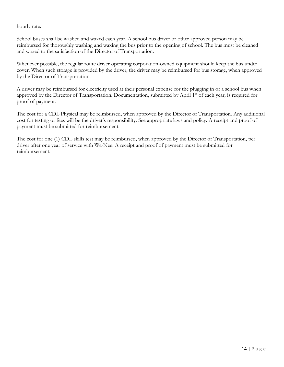hourly rate.

School buses shall be washed and waxed each year. A school bus driver or other approved person may be reimbursed for thoroughly washing and waxing the bus prior to the opening of school. The bus must be cleaned and waxed to the satisfaction of the Director of Transportation.

Whenever possible, the regular route driver operating corporation-owned equipment should keep the bus under cover. When such storage is provided by the driver, the driver may be reimbursed for bus storage, when approved by the Director of Transportation.

A driver may be reimbursed for electricity used at their personal expense for the plugging in of a school bus when approved by the Director of Transportation. Documentation, submitted by April 1<sup>st</sup> of each year, is required for proof of payment.

The cost for a CDL Physical may be reimbursed, when approved by the Director of Transportation. Any additional cost for testing or fees will be the driver's responsibility. See appropriate laws and policy. A receipt and proof of payment must be submitted for reimbursement.

The cost for one (1) CDL skills test may be reimbursed, when approved by the Director of Transportation, per driver after one year of service with Wa-Nee. A receipt and proof of payment must be submitted for reimbursement.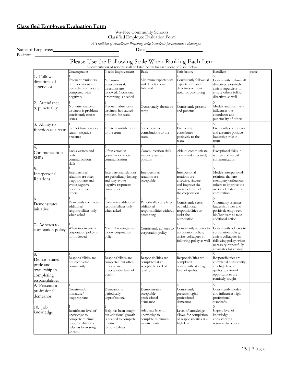# Classified Employee Evaluation Form

#### Wa-Nee Community Schools Classified Employee Evaluation Form

A Tradition of Excellence: Preparing today's students for tomorrow's challenges.

Name of Employee: Date:

Position: \_

# Please Use the Following Scale When Ranking Each Item

|                                                                                   |                                                                                                                      | Documentation of reasons shall be listed below for each score of 2 and below                              |                                                                               |                                                                                                                  |                                                                                                                                                     |       |
|-----------------------------------------------------------------------------------|----------------------------------------------------------------------------------------------------------------------|-----------------------------------------------------------------------------------------------------------|-------------------------------------------------------------------------------|------------------------------------------------------------------------------------------------------------------|-----------------------------------------------------------------------------------------------------------------------------------------------------|-------|
|                                                                                   | Unacceptable                                                                                                         | Needs Improvement                                                                                         | Basic                                                                         | Satisfactory                                                                                                     | Excellent                                                                                                                                           | score |
| 1. Follows<br>directions of<br>supervisor                                         | Frequent reminders<br>of expectations are<br>needed/directives are<br>completed with<br>negativity                   | Minimum<br>expectations &<br>directions are<br>followed. Occasional<br>prompting is needed                | Minimum expectations<br>and directions are<br>followed                        | Consistently follows all<br>expectations and<br>directives without<br>need for prompting                         | Consistently follows all<br>directives; positively<br>assists supervisor to<br>ensure others follow<br>directives as well                           |       |
| 2. Attendance<br>& punctuality                                                    | Non-attendance or<br>tardiness is problem;<br>consistently causes<br>issues                                          | Frequent absence or<br>tardiness has caused<br>problem for team                                           | Occasionally absent or<br>tardy                                               | Consistently present<br>and punctual                                                                             | Models and positively<br>influences the<br>attendance and<br>punctuality of others                                                                  |       |
| 3. Ability to<br>function as a team                                               | Cannot function as a<br>team - negative<br>presence                                                                  | Limited contributions<br>to the team                                                                      | Some positive<br>contributions to the<br>team                                 | Frequently<br>contributes<br>positively to the<br>team                                                           | Frequently contributes<br>and assumes positive<br>leadership role in<br>team                                                                        |       |
| 4.<br>Communication<br>Skills                                                     | Lacks written and<br>verbal<br>communication<br>skills                                                               | Often errors in<br>grammar or written<br>communication                                                    | Communication skills<br>are adequate for<br>position                          | Able to communicate<br>clearly and effectively                                                                   | Exceptional skills in<br>written and verbal<br>communication                                                                                        |       |
| 5.<br>Interpersonal<br>Relations                                                  | Interpersonal<br>relations are often<br>inappropriate and<br>evoke negative<br>responses from<br>others              | Interpersonal relations<br>are periodically lacking<br>and may evoke<br>negative responses<br>from others | Interpersonal<br>relations are<br>acceptable                                  | Interpersonal<br>relations are<br>effective, sincere<br>and improve the<br>overall climate of<br>the corporation | Models interpersonal<br>relations that are<br>exemplary/influences<br>others to improve the<br>overall climate of the<br>corporation                |       |
| 6.<br>Demonstrates<br>initiative                                                  | Reluctantly completes<br>additional<br>responsibilities only<br>when asked                                           | Completes additional<br>responsibilities only<br>when asked                                               | Periodically completes<br>additional<br>responsibilities without<br>prompting | Consistently seeks<br>out additional<br>responsibilities to<br>assist the<br>corporation                         | Voluntarily assumes<br>leadership roles and<br>positively empowers<br>his/her team to take<br>additional action                                     |       |
| 7. Adheres to<br>corporation policy                                               | When inconvenient,<br>corporation policy is<br>not followed                                                          | May unknowingly not<br>follow corporation<br>policy                                                       | Consistently adheres to<br>corporation policy                                 | Consistently adheres to<br>corporation policy;<br>assists colleagues in<br>following policy as well              | Consistently adheres to<br>corporation policy;<br>assists colleagues in<br>following policy; when<br>necessary respectfully<br>advocates for change |       |
| 8.<br>Demonstrates<br>pride and<br>ownership in<br>completing<br>responsibilities | Responsibilities are<br>not completed<br>consistently                                                                | Responsibilities are<br>completed but often<br>times at an<br>unacceptable level of<br>quality            | Responsibilities are<br>completed at an<br>acceptable level of<br>quality     | Responsibilities are<br>completed<br>consistently at a high<br>level of quality                                  | Responsibilities are<br>completed consistently<br>at a high level of<br>quality; additional<br>opportunities are<br>routinely sought                |       |
| 9. Presents a<br>professional<br>ldemeanor                                        | Consistently<br>immature/<br>inappropriate                                                                           | Demeanor is<br>periodically<br>unprofessional                                                             | Demonstrates<br>acceptable<br>professional<br>demeanor                        | Consistently<br>presents highly<br>professional<br>demeanor                                                      | Consistently models<br>and influences high<br>professional<br>standards                                                                             |       |
| 10. Job<br>knowledge                                                              | Insufficient level of<br>knowledge to<br>complete minimal<br>responsibilities/no<br>help has been sought<br>to learn | Help has been sought<br>but additional growth<br>is needed to complete<br>minimum<br>responsibilities     | Adequate level of<br>knowledge to<br>complete minimum<br>requirements         | Level of knowledge<br>allows for completion<br>of responsibilities at a<br>high level                            | Expert level of<br>knowledge –<br>consistently a<br>resource to others                                                                              |       |